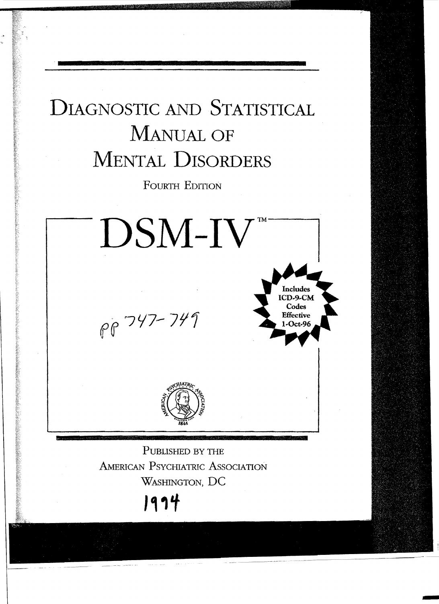# DIAGNOSTIC AND STATISTICAL MANUAL OF MENTAL DISORDERS

FOURTH EDITION



PUBLISHED BY THE AMERICAN PSYCHIATRIC ASSOCIATION WASHINGTON, DC 1994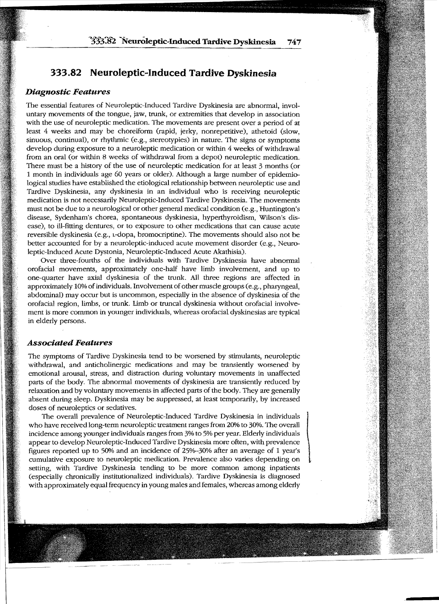## **333.82 Neuroleptic-Induced Tardive Dyskinesia**

### *Diagnostic Features*

The essential features of Neuroleptic-Induced Tardive Dyskinesia are abnormal, involuntary movements of the tongue, jaw, trunk, or extremities that develop in association with the use of neuroleptic medication. The movements are present over a period of at least 4 weeks and may be choreiform (rapid, jerky, nonrepetitive), athetoid (slow, sinuous, continual), or rhythmic (e.g., stereotypies) in nature. The signs or symptoms develop during exposure to a neuroleptic medication or within 4 weeks of withdrawal from an oral (or within 8 weeks of withdrawal from a depot) neuroleptic medication. There must be a history of the use of neuroleptic medication for at least 3 months (or 1 month in individuals age 60 years or older). Although a large number of epidemiological studies have established the etiological relationship between neuroleptic use and Tardive Dyskinesia, any dyskinesia in an individual who is receiving neuroleptic medication is not necessarily Neuroleptic-Induced Tardive Dyskinesia. The movements must not be due to a neurological or other general medical condition (e.g., Huntington's disease, Sydenham's chorea, spontaneous dyskinesia, hyperthyroidism, Wilson's disease), to ill-fitting dentures, or to exposure to other medications that can cause acute reversible dyskinesia (e.g., L-dopa, bromocriptine). The movements should also not be better accounted for by a neuroleptic-induced acute movement disorder (e.g., Neuroleptic-Induced Acute DystOnia, Neuroleptic-Induced Acute Akathisia).

Over three-fourths of the individuals with Tardive Dyskinesia have abnormal orofacial movements, approximately one-half have limb involvement, and up to one-quarter have axial dyskinesia of the trunk. All three regions are affected in approximately 10% of individuals. Involvement of other muscle groups (e.g., pharyngeal, abdominal) may occur but is uncommon, especially in the absence of dyskinesia of the orofacial region, limbs, or trunk. Limb or truncal dyskinesia without orofacial involvement is more common in younger individuals, whereas orofacial dyskinesias are typical in elderly persons.

#### *Associated Features*

The symptoms of Tardive Dyskinesia tend to be worsened by stimulants, neuroleptic withdrawal, and anticholinergic medications and may be transiently worsened by emotional arousal, stress, and distraction during voluntary movements in unaffected parts of the body. The abnormal movements of dyskinesia are transiently reduced by relaxation and by voluntary movements in affected parts of the body. They are generally absent during sleep. Dyskinesia may be suppressed, at least temporarily, by increased doses of neuroleptics or sedatives. xation and by voluntary movements in affected parts of the body. They are generally<br>ent during sleep. Dyskinesia may be suppressed, at least temporarily, by increased<br>as of neuroleptics or sedatives.<br>The overall prevalence

who have received long-term neuroleptic treatment ranges from 20% to 30%. The overall incidence among younger individuals ranges from 3% to 5% per year. Elderly individuals appear to develop Neuroleptic-Induced Tardive Dyskinesia more often, with prevalence figures reported up to 50% and an incidence of 25%-30% after an average of 1 year's cumulative exposure to neuroleptic medication. Prevalence also varies depending on setting, with Tardive Dyskinesia tending to be more common among inpatients (especially chronically institutionalized individuals). Tardive Dyskinesia is diagnosed with approximately equal frequency in young males and females, whereas among elderly

the Company of Company and Company of Company and Company and Company and Company and Company and Company and <br>The Company of Company and Company and Company and Company and Company and Company and Company and Company and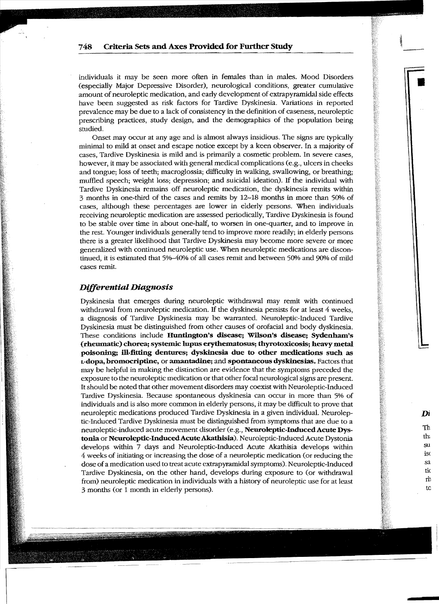individuals it may be seen more often in females than in males. Mood Disorders (especially Major Depressive Disorder), neurolOgical conditions, greater cumulative amount of neuroleptic medication, and early development of extrapyramidal side effects have been suggested as risk factors for Tardive Dyskinesia. Variations in reported prevalence may be due to a lack of consistency in the definition of caseness, neuroleptic prescribing practices, study design, and the demographics of the population being studied.

Onset may occur at any age and is almost always insidious. The signs are typically minimal to mild at onset and escape notice except by a keen observer. In a majority of cases, Tardive Dyskinesia is mild and is primarily a cosmetic problem. In severe cases, however, it may be associated with general medical complications (e.g., ulcers in cheeks and tongue; loss of teeth; macroglossia; difficulty in walking, swallowing, or breathing; muffled speech; weight loss; depression; and suicidal ideation). If the individual with Tardive Dyskinesia remains off neuroleptic medication, the dyskinesia remits within 3 months in one-third of the cases and remits by 12-18 months in more than 50% of cases, although these percentages are lower in elderly persons. When individuals receiving neuroleptic medication are assessed periodically, Tardive Dyskinesia is found to be stable over time in about one-half, to worsen in one-quarter, and to improve in the rest. Younger individuals generally tend to improve more readily; in elderly persons there is a greater likelihood that Tardive Dyskinesia may become more severe or more generalized with continued neuroleptic use. When neuroleptic medications are discontinued, it is estimated that 5%–40% of all cases remit and between 50% and 90% of mild cases remit.

### *Differential Diagnosis*

Dyskinesia that emerges during neuroleptic withdrawal may remit with continued withdrawal from neuroleptic medication. If the dyskinesia persists for at least 4 weeks, a diagnosis of Tardive Dyskinesia may be warranted. Neuroleptic-Induced Tardive Dyskinesia must be distinguished from other causes of orofacial and body dyskinesia. These conditions include **Huntington's disease; Wilson's disease; Sydenham's (rheumatic) chorea; systemic lupus erythematosus; thyrotoxicosis; heavymetal pOiso:ning; ill-fitting dentures; dyskinesia due to other medications such** as **L-dopa, bromocriptine, or amantadine;** and **spontaneous dyskinesias.** Factors that may be helpful in making the distinction are evidence that the symptoms preceded the exposure to the neuroleptic medication or that other focal neurological signs are present. It should be noted that other movement disorders may coexist with Neuroleptic-Induced Tardive Dyskinesia. Because spontaneous dyskinesia can occur in more than 5% of individuals and is also more common in elderly persons, it may be difficult to prove that neuroleptic medications produced Tardive Dyskinesia in a given individual. Neuroleptic-Induced Tardive Dyskinesia must be distinguished from symptoms that are due to a neuroleptic-induced acute movement disorder (e.g., Neuroleptic-Induced Acute Dys**tonia or Neuroleptic-InducedAcute**Akathisia). Neuroleptic-Induced Acute Dystonia develops within 7 days and Neuroleptic-Induced Acute Akathisia develops within 4 weeks of initiating or increasing the dose of a neuroleptic medication (or reducing the dose ofa medication used to treat acute extrapyramidal symptoms). Neuroleptic-Induced Tardive Dyskinesia, on the other hand, develops during exposure to (or withdrawal from) neuroleptic medication in individuals with a history of neuroleptic use for at least 3 months (or 1 month in elderly persons).